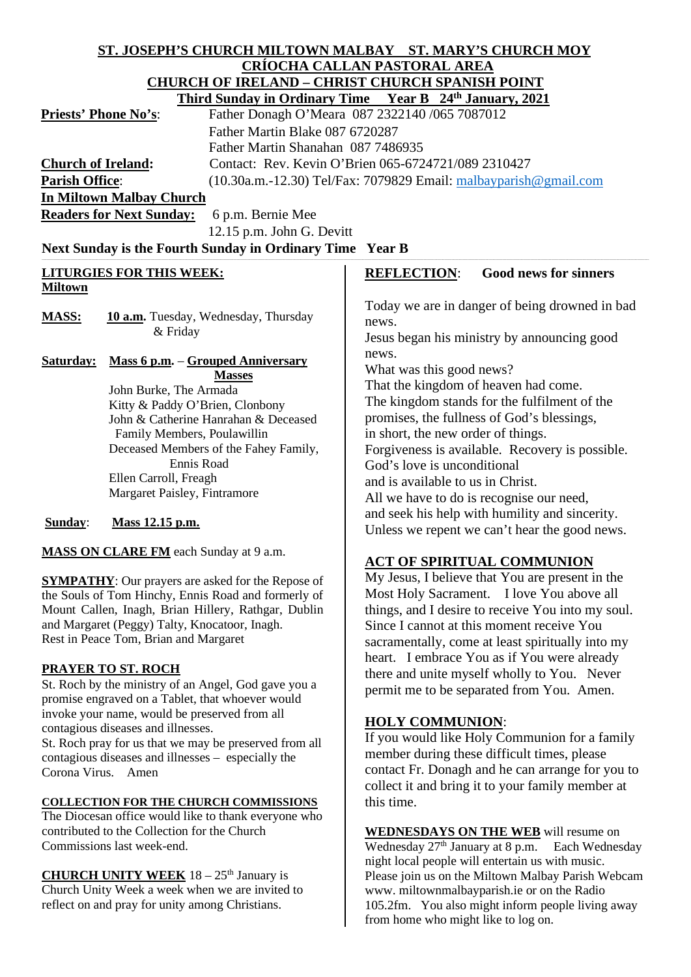# **ST. JOSEPH'S CHURCH MILTOWN MALBAY ST. MARY'S CHURCH MOY CRÍOCHA CALLAN PASTORAL AREA CHURCH OF IRELAND – CHRIST CHURCH SPANISH POINT Third Sunday in Ordinary Time Year B 24th January, 2021**

**Priests' Phone No's:** Father Donagh O'Meara 087 2322140 /065 7087012 Father Martin Blake 087 6720287 Father Martin Shanahan 087 7486935 **Church of Ireland:** Contact: Rev. Kevin O'Brien 065-6724721/089 2310427 **Parish Office:** (10.30a.m.-12.30) Tel/Fax: 7079829 Email: [malbayparish@gmail.com](mailto:malbayparish@gmail.com) **In Miltown Malbay Church**

**Readers for Next Sunday:** 6 p.m. Bernie Mee

12.15 p.m. John G. Devitt

Next Sunday is the Fourth Sunday in Ordinary Time Year B

# **LITURGIES FOR THIS WEEK: Miltown**

MASS: **10 a.m.** Tuesday, Wednesday, Thursday & Friday

**Saturday: Mass 6 p.m.** – **Grouped Anniversary Masses** John Burke, The Armada Kitty & Paddy O'Brien, Clonbony John & Catherine Hanrahan & Deceased Family Members, Poulawillin Deceased Members of the Fahey Family, Ennis Road Ellen Carroll, Freagh Margaret Paisley, Fintramore

# **Sunday**: **Mass 12.15 p.m.**

**MASS ON CLARE FM** each Sunday at 9 a.m.

**SYMPATHY**: Our prayers are asked for the Repose of the Souls of Tom Hinchy, Ennis Road and formerly of Mount Callen, Inagh, Brian Hillery, Rathgar, Dublin and Margaret (Peggy) Talty, Knocatoor, Inagh. Rest in Peace Tom, Brian and Margaret

# **PRAYER TO ST. ROCH**

St. Roch by the ministry of an Angel, God gave you a promise engraved on a Tablet, that whoever would invoke your name, would be preserved from all contagious diseases and illnesses. St. Roch pray for us that we may be preserved from all contagious diseases and illnesses – especially the Corona Virus. Amen

# **COLLECTION FOR THE CHURCH COMMISSIONS**

The Diocesan office would like to thank everyone who contributed to the Collection for the Church Commissions last week-end.

**CHURCH UNITY WEEK** 18 – 25<sup>th</sup> January is Church Unity Week a week when we are invited to reflect on and pray for unity among Christians.

# **REFLECTION**: **Good news for sinners**

Today we are in danger of being drowned in bad news.

Jesus began his ministry by announcing good news.

What was this good news?

That the kingdom of heaven had come. The kingdom stands for the fulfilment of the promises, the fullness of God's blessings, in short, the new order of things. Forgiveness is available. Recovery is possible. God's love is unconditional and is available to us in Christ. All we have to do is recognise our need, and seek his help with humility and sincerity. Unless we repent we can't hear the good news.

# **ACT OF SPIRITUAL COMMUNION**

My Jesus, I believe that You are present in the Most Holy Sacrament. I love You above all things, and I desire to receive You into my soul. Since I cannot at this moment receive You sacramentally, come at least spiritually into my heart. I embrace You as if You were already there and unite myself wholly to You. Never permit me to be separated from You. Amen.

# **HOLY COMMUNION**:

If you would like Holy Communion for a family member during these difficult times, please contact Fr. Donagh and he can arrange for you to collect it and bring it to your family member at this time.

**WEDNESDAYS ON THE WEB** will resume on Wednesday  $27<sup>th</sup>$  January at 8 p.m. Each Wednesday night local people will entertain us with music. Please join us on the Miltown Malbay Parish Webcam www. miltownmalbayparish.ie or on the Radio 105.2fm. You also might inform people living away from home who might like to log on.